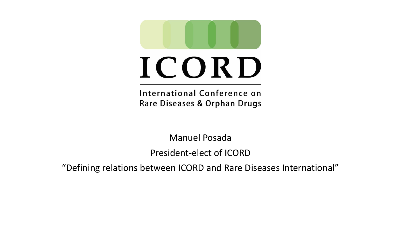

# ICORD

International Conference on Rare Diseases & Orphan Drugs

Manuel Posada

President-elect of ICORD

"Defining relations between ICORD and Rare Diseases International"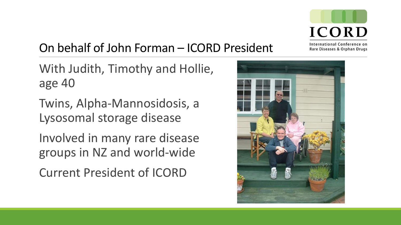

#### On behalf of John Forman – ICORD President

With Judith, Timothy and Hollie, age 40

Twins, Alpha-Mannosidosis, a Lysosomal storage disease

Involved in many rare disease groups in NZ and world-wide Current President of ICORD

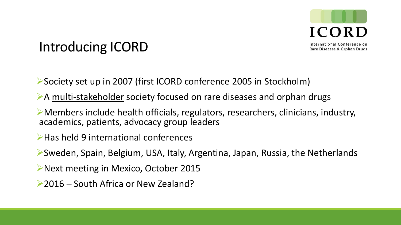

## Introducing ICORD

Society set up in 2007 (first ICORD conference 2005 in Stockholm)

- A multi-stakeholder society focused on rare diseases and orphan drugs
- Members include health officials, regulators, researchers, clinicians, industry, academics, patients, advocacy group leaders
- ▶ Has held 9 international conferences
- Sweden, Spain, Belgium, USA, Italy, Argentina, Japan, Russia, the Netherlands
- ▶Next meeting in Mexico, October 2015
- ▶ 2016 South Africa or New Zealand?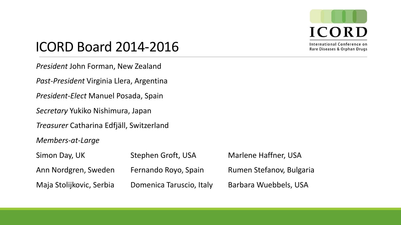

International Conference on Rare Diseases & Orphan Drugs

## ICORD Board 2014-2016

*President* John Forman, New Zealand

*Past-President* Virginia Llera, Argentina

*President-Elect* Manuel Posada, Spain

*Secretary* Yukiko Nishimura, Japan

*Treasurer* Catharina Edfjäll, Switzerland

*Members-at-Large*

| Simon Day, UK            | Stephen Groft, USA       | <b>Marlene Haffner, USA</b> |
|--------------------------|--------------------------|-----------------------------|
| Ann Nordgren, Sweden     | Fernando Royo, Spain     | Rumen Stefanov, Bulgaria    |
| Maja Stolijkovic, Serbia | Domenica Taruscio, Italy | Barbara Wuebbels, USA       |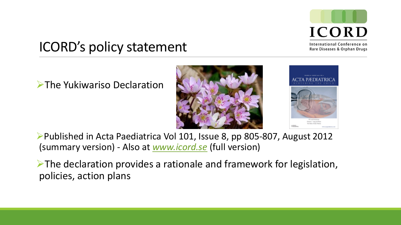

International Conference on Rare Diseases & Orphan Drugs

## ICORD's policy statement

**The Yukiwariso Declaration** 





Published in Acta Paediatrica Vol 101, Issue 8, pp 805-807, August 2012 (summary version) - Also at *[www.icord.se](http://www.icord.se/)* (full version)

 $\triangleright$  The declaration provides a rationale and framework for legislation, policies, action plans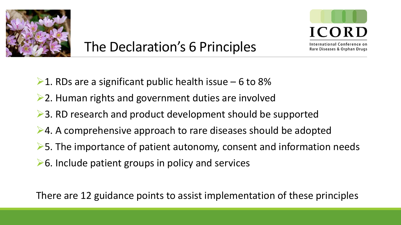

# The Declaration's 6 Principles



International Conference on Rare Diseases & Orphan Drugs

- $\geq 1$ . RDs are a significant public health issue 6 to 8%
- $\geq$  2. Human rights and government duties are involved
- **►3. RD research and product development should be supported**
- **►4. A comprehensive approach to rare diseases should be adopted**
- $\triangleright$  5. The importance of patient autonomy, consent and information needs
- $\triangleright$  6. Include patient groups in policy and services

There are 12 guidance points to assist implementation of these principles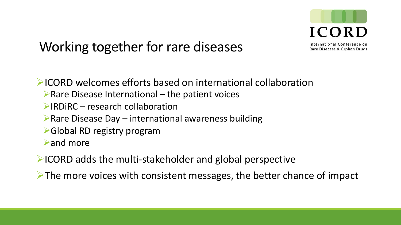

## Working together for rare diseases

ICORD welcomes efforts based on international collaboration

- $\triangleright$  Rare Disease International the patient voices
- $\triangleright$  IRDIRC research collaboration
- $\triangleright$  Rare Disease Day international awareness building
- **► Global RD registry program**

and more

 $\blacktriangleright$  ICORD adds the multi-stakeholder and global perspective

 $\triangleright$  The more voices with consistent messages, the better chance of impact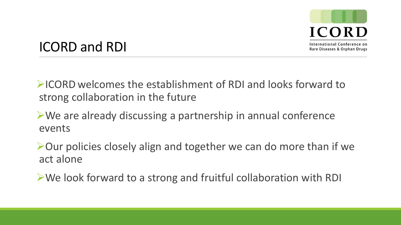

#### ICORD and RDI

 $\triangleright$  ICORD welcomes the establishment of RDI and looks forward to strong collaboration in the future

#### We are already discussing a partnership in annual conference events

▶ Our policies closely align and together we can do more than if we act alone

We look forward to a strong and fruitful collaboration with RDI